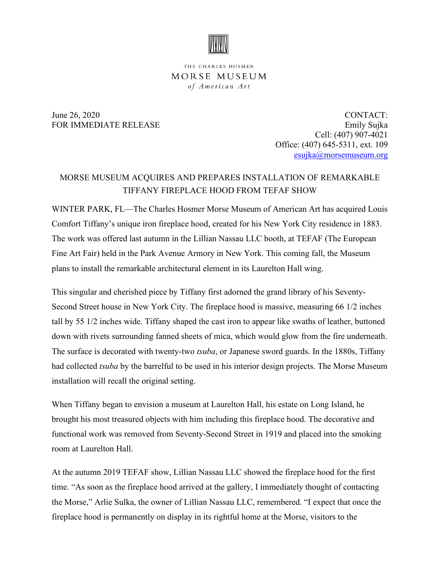

## THE CHARLES HOSMER MORSE MUSEUM of American Art

June 26, 2020 CONTACT: FOR IMMEDIATE RELEASE Emily Sujka Cell: (407) 907-4021 Office: (407) 645-5311, ext. 109 [esujka@morsemuseum.org](mailto:esujka@morsemuseum.org)

## MORSE MUSEUM ACQUIRES AND PREPARES INSTALLATION OF REMARKABLE TIFFANY FIREPLACE HOOD FROM TEFAF SHOW

WINTER PARK, FL—The Charles Hosmer Morse Museum of American Art has acquired Louis Comfort Tiffany's unique iron fireplace hood, created for his New York City residence in 1883. The work was offered last autumn in the Lillian Nassau LLC booth, at TEFAF (The European Fine Art Fair) held in the Park Avenue Armory in New York. This coming fall, the Museum plans to install the remarkable architectural element in its Laurelton Hall wing.

This singular and cherished piece by Tiffany first adorned the grand library of his Seventy-Second Street house in New York City. The fireplace hood is massive, measuring 66 1/2 inches tall by 55 1/2 inches wide. Tiffany shaped the cast iron to appear like swaths of leather, buttoned down with rivets surrounding fanned sheets of mica, which would glow from the fire underneath. The surface is decorated with twenty-two *tsuba*, or Japanese sword guards. In the 1880s, Tiffany had collected *tsuba* by the barrelful to be used in his interior design projects. The Morse Museum installation will recall the original setting.

When Tiffany began to envision a museum at Laurelton Hall, his estate on Long Island, he brought his most treasured objects with him including this fireplace hood. The decorative and functional work was removed from Seventy-Second Street in 1919 and placed into the smoking room at Laurelton Hall.

At the autumn 2019 TEFAF show, Lillian Nassau LLC showed the fireplace hood for the first time. "As soon as the fireplace hood arrived at the gallery, I immediately thought of contacting the Morse," Arlie Sulka, the owner of Lillian Nassau LLC, remembered. "I expect that once the fireplace hood is permanently on display in its rightful home at the Morse, visitors to the